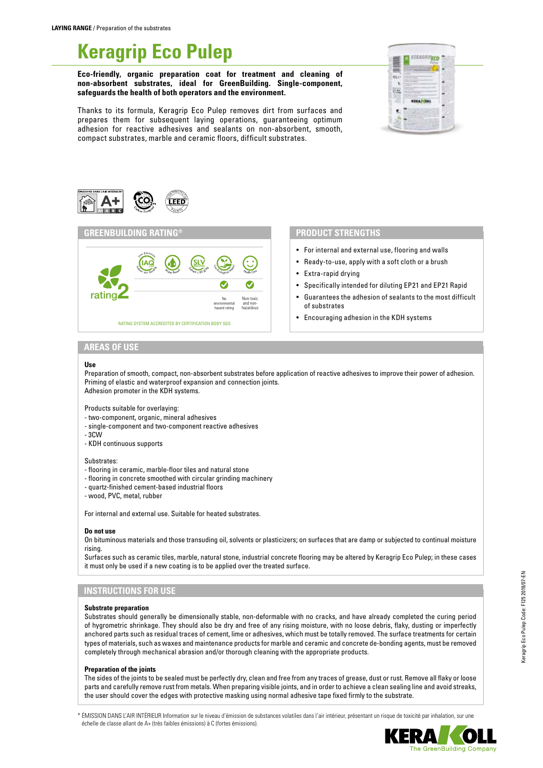# **Keragrip Eco Pulep**

**Eco-friendly, organic preparation coat for treatment and cleaning of non-absorbent substrates, ideal for GreenBuilding. Single-component, safeguards the health of both operators and the environment.**

Thanks to its formula, Keragrip Eco Pulep removes dirt from surfaces and prepares them for subsequent laying operations, guaranteeing optimum adhesion for reactive adhesives and sealants on non-absorbent, smooth, compact substrates, marble and ceramic floors, difficult substrates.







## **PRODUCT STRENGTHS**

- For internal and external use, flooring and walls
- Ready-to-use, apply with a soft cloth or a brush
- Extra-rapid drying
- Specifically intended for diluting EP21 and EP21 Rapid
- Guarantees the adhesion of sealants to the most difficult of substrates
- Encouraging adhesion in the KDH systems

# **AREAS OF USE**

#### **Use**

Preparation of smooth, compact, non-absorbent substrates before application of reactive adhesives to improve their power of adhesion. Priming of elastic and waterproof expansion and connection joints. Adhesion promoter in the KDH systems.

Products suitable for overlaying:

- two-component, organic, mineral adhesives
- single-component and two-component reactive adhesives
- 3CW
- KDH continuous supports

#### Substrates:

- flooring in ceramic, marble-floor tiles and natural stone
- flooring in concrete smoothed with circular grinding machinery
- quartz-finished cement-based industrial floors
- wood, PVC, metal, rubber

For internal and external use. Suitable for heated substrates.

#### **Do not use**

On bituminous materials and those transuding oil, solvents or plasticizers; on surfaces that are damp or subjected to continual moisture rising.

Surfaces such as ceramic tiles, marble, natural stone, industrial concrete flooring may be altered by Keragrip Eco Pulep; in these cases it must only be used if a new coating is to be applied over the treated surface.

## **INSTRUCTIONS FOR USE**

#### **Substrate preparation**

Substrates should generally be dimensionally stable, non-deformable with no cracks, and have already completed the curing period of hygrometric shrinkage. They should also be dry and free of any rising moisture, with no loose debris, flaky, dusting or imperfectly anchored parts such as residual traces of cement, lime or adhesives, which must be totally removed. The surface treatments for certain types of materials, such as waxes and maintenance products for marble and ceramic and concrete de-bonding agents, must be removed completely through mechanical abrasion and/or thorough cleaning with the appropriate products.

#### **Preparation of the joints**

The sides of the joints to be sealed must be perfectly dry, clean and free from any traces of grease, dust or rust. Remove all flaky or loose parts and carefully remove rust from metals. When preparing visible joints, and in order to achieve a clean sealing line and avoid streaks, the user should cover the edges with protective masking using normal adhesive tape fixed firmly to the substrate.

\* ÉMISSION DANS L'AIR INTÉRIEUR Information sur le niveau d'émission de substances volatiles dans l'air intérieur, présentant un risque de toxicité par inhalation, sur une échelle de classe allant de A+ (très faibles émissions) à C (fortes émissions).

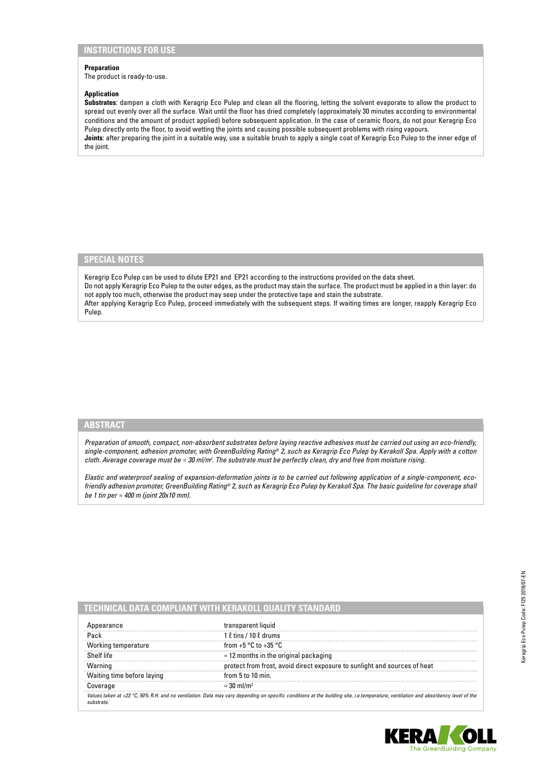# **INSTRUCTIONS FOR USE**

## **Preparation**

The product is ready-to-use.

### **Application**

**Substrates**: dampen a cloth with Keragrip Eco Pulep and clean all the flooring, letting the solvent evaporate to allow the product to spread out evenly over all the surface. Wait until the floor has dried completely (approximately 30 minutes according to environmental conditions and the amount of product applied) before subsequent application. In the case of ceramic floors, do not pour Keragrip Eco Pulep directly onto the floor, to avoid wetting the joints and causing possible subsequent problems with rising vapours. **Joints**: after preparing the joint in a suitable way, use a suitable brush to apply a single coat of Keragrip Eco Pulep to the inner edge of the joint.

# **SPECIAL NOTES**

Keragrip Eco Pulep can be used to dilute EP21 and EP21 according to the instructions provided on the data sheet. Do not apply Keragrip Eco Pulep to the outer edges, as the product may stain the surface. The product must be applied in a thin layer: do not apply too much, otherwise the product may seep under the protective tape and stain the substrate. After applying Keragrip Eco Pulep, proceed immediately with the subsequent steps. If waiting times are longer, reapply Keragrip Eco Pulep.

## **ABSTRACT**

*Preparation of smooth, compact, non-absorbent substrates before laying reactive adhesives must be carried out using an eco-friendly, single-component, adhesion promoter, with GreenBuilding Rating® 2, such as Keragrip Eco Pulep by Kerakoll Spa. Apply with a cotton cloth. Average coverage must be ≈ 30 ml/m<sup>2</sup>. The substrate must be perfectly clean, dry and free from moisture rising.* 

*Elastic and waterproof sealing of expansion-deformation joints is to be carried out following application of a single-component, ecofriendly adhesion promoter, GreenBuilding Rating® 2, such as Keragrip Eco Pulep by Kerakoll Spa. The basic guideline for coverage shall be 1 tin per ≈ 400 m (joint 20x10 mm).*

|                            | CHNICAL DATA COMPLIANT WITH KERAKOLL OUALITY STANDA                                                                                                                                |
|----------------------------|------------------------------------------------------------------------------------------------------------------------------------------------------------------------------------|
| pearance                   | transparent liquid                                                                                                                                                                 |
| Pack                       | $1 \ell$ tins / 10 $\ell$ drums                                                                                                                                                    |
| Working temperature        | from $+5$ °C to $+35$ °C                                                                                                                                                           |
| Shelf life                 | $\approx$ 12 months in the original packaging                                                                                                                                      |
| Warning                    | protect from frost, avoid direct exposure to sunlight and sources of heat                                                                                                          |
| Waiting time before laying | from $5$ to $10$ min.                                                                                                                                                              |
| Coverage                   | $\approx$ 30 ml/m <sup>2</sup>                                                                                                                                                     |
|                            | Values taken at +23 °C, 50% R.H. and no ventilation. Data may vary depending on specific conditions at the building site, i.e.temperature, ventilation and absorbency level of the |